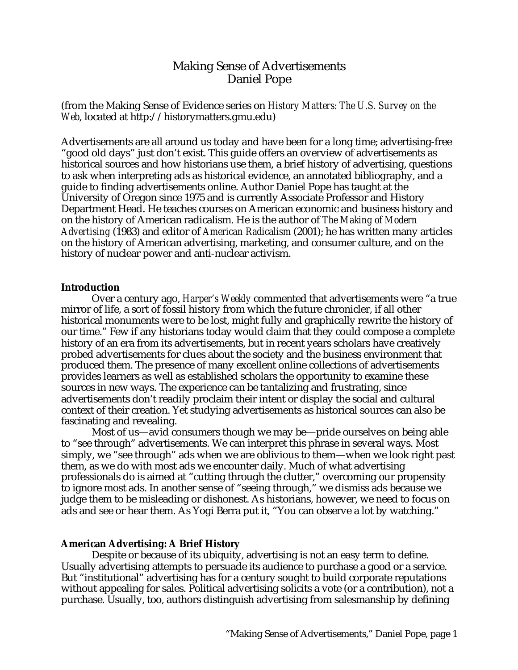# Making Sense of Advertisements Daniel Pope

(from the Making Sense of Evidence series on *History Matters: The U.S. Survey on the Web*, located at http://historymatters.gmu.edu)

Advertisements are all around us today and have been for a long time; advertising-free "good old days" just don't exist. This guide offers an overview of advertisements as historical sources and how historians use them, a brief history of advertising, questions to ask when interpreting ads as historical evidence, an annotated bibliography, and a guide to finding advertisements online. Author Daniel Pope has taught at the University of Oregon since 1975 and is currently Associate Professor and History Department Head. He teaches courses on American economic and business history and on the history of American radicalism. He is the author of *The Making of Modern Advertising* (1983) and editor of *American Radicalism* (2001); he has written many articles on the history of American advertising, marketing, and consumer culture, and on the history of nuclear power and anti-nuclear activism.

#### **Introduction**

Over a century ago, *Harper's Weekly* commented that advertisements were "a true mirror of life, a sort of fossil history from which the future chronicler, if all other historical monuments were to be lost, might fully and graphically rewrite the history of our time." Few if any historians today would claim that they could compose a complete history of an era from its advertisements, but in recent years scholars have creatively probed advertisements for clues about the society and the business environment that produced them. The presence of many excellent online collections of advertisements provides learners as well as established scholars the opportunity to examine these sources in new ways. The experience can be tantalizing and frustrating, since advertisements don't readily proclaim their intent or display the social and cultural context of their creation. Yet studying advertisements as historical sources can also be fascinating and revealing.

Most of us—avid consumers though we may be—pride ourselves on being able to "see through" advertisements. We can interpret this phrase in several ways. Most simply, we "see through" ads when we are oblivious to them—when we look right past them, as we do with most ads we encounter daily. Much of what advertising professionals do is aimed at "cutting through the clutter," overcoming our propensity to ignore most ads. In another sense of "seeing through," we dismiss ads because we judge them to be misleading or dishonest. As historians, however, we need to focus on ads and see or hear them. As Yogi Berra put it, "You can observe a lot by watching."

#### **American Advertising: A Brief History**

Despite or because of its ubiquity, advertising is not an easy term to define. Usually advertising attempts to persuade its audience to purchase a good or a service. But "institutional" advertising has for a century sought to build corporate reputations without appealing for sales. Political advertising solicits a vote (or a contribution), not a purchase. Usually, too, authors distinguish advertising from salesmanship by defining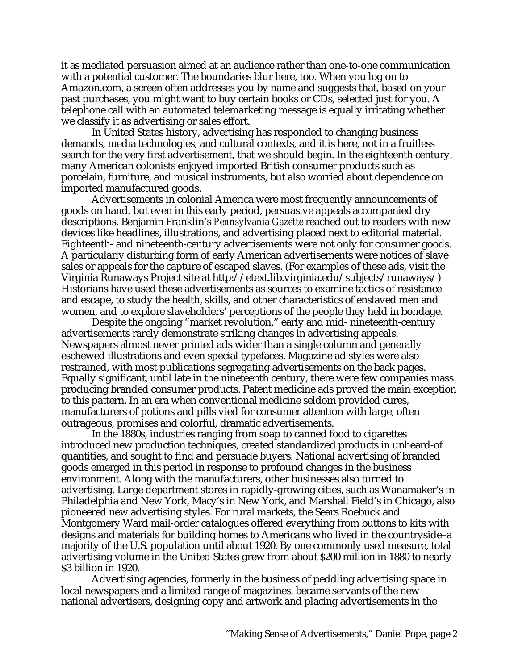it as mediated persuasion aimed at an audience rather than one-to-one communication with a potential customer. The boundaries blur here, too. When you log on to Amazon.com, a screen often addresses you by name and suggests that, based on your past purchases, you might want to buy certain books or CDs, selected just for you. A telephone call with an automated telemarketing message is equally irritating whether we classify it as advertising or sales effort.

In United States history, advertising has responded to changing business demands, media technologies, and cultural contexts, and it is here, not in a fruitless search for the very first advertisement, that we should begin. In the eighteenth century, many American colonists enjoyed imported British consumer products such as porcelain, furniture, and musical instruments, but also worried about dependence on imported manufactured goods.

Advertisements in colonial America were most frequently announcements of goods on hand, but even in this early period, persuasive appeals accompanied dry descriptions. Benjamin Franklin's *Pennsylvania Gazette* reached out to readers with new devices like headlines, illustrations, and advertising placed next to editorial material. Eighteenth- and nineteenth-century advertisements were not only for consumer goods. A particularly disturbing form of early American advertisements were notices of slave sales or appeals for the capture of escaped slaves. (For examples of these ads, visit the Virginia Runaways Project site at http://etext.lib.virginia.edu/subjects/runaways/) Historians have used these advertisements as sources to examine tactics of resistance and escape, to study the health, skills, and other characteristics of enslaved men and women, and to explore slaveholders' perceptions of the people they held in bondage.

Despite the ongoing "market revolution," early and mid- nineteenth-century advertisements rarely demonstrate striking changes in advertising appeals. Newspapers almost never printed ads wider than a single column and generally eschewed illustrations and even special typefaces. Magazine ad styles were also restrained, with most publications segregating advertisements on the back pages. Equally significant, until late in the nineteenth century, there were few companies mass producing branded consumer products. Patent medicine ads proved the main exception to this pattern. In an era when conventional medicine seldom provided cures, manufacturers of potions and pills vied for consumer attention with large, often outrageous, promises and colorful, dramatic advertisements.

In the 1880s, industries ranging from soap to canned food to cigarettes introduced new production techniques, created standardized products in unheard-of quantities, and sought to find and persuade buyers. National advertising of branded goods emerged in this period in response to profound changes in the business environment. Along with the manufacturers, other businesses also turned to advertising. Large department stores in rapidly-growing cities, such as Wanamaker's in Philadelphia and New York, Macy's in New York, and Marshall Field's in Chicago, also pioneered new advertising styles. For rural markets, the Sears Roebuck and Montgomery Ward mail-order catalogues offered everything from buttons to kits with designs and materials for building homes to Americans who lived in the countryside–a majority of the U.S. population until about 1920. By one commonly used measure, total advertising volume in the United States grew from about \$200 million in 1880 to nearly \$3 billion in 1920.

Advertising agencies, formerly in the business of peddling advertising space in local newspapers and a limited range of magazines, became servants of the new national advertisers, designing copy and artwork and placing advertisements in the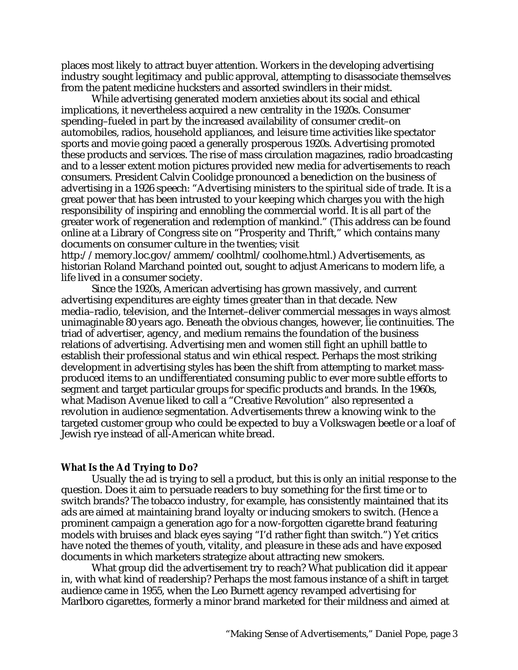places most likely to attract buyer attention. Workers in the developing advertising industry sought legitimacy and public approval, attempting to disassociate themselves from the patent medicine hucksters and assorted swindlers in their midst.

While advertising generated modern anxieties about its social and ethical implications, it nevertheless acquired a new centrality in the 1920s. Consumer spending–fueled in part by the increased availability of consumer credit–on automobiles, radios, household appliances, and leisure time activities like spectator sports and movie going paced a generally prosperous 1920s. Advertising promoted these products and services. The rise of mass circulation magazines, radio broadcasting and to a lesser extent motion pictures provided new media for advertisements to reach consumers. President Calvin Coolidge pronounced a benediction on the business of advertising in a 1926 speech: "Advertising ministers to the spiritual side of trade. It is a great power that has been intrusted to your keeping which charges you with the high responsibility of inspiring and ennobling the commercial world. It is all part of the greater work of regeneration and redemption of mankind." (This address can be found online at a Library of Congress site on "Prosperity and Thrift," which contains many documents on consumer culture in the twenties; visit

http://memory.loc.gov/ammem/coolhtml/coolhome.html.) Advertisements, as historian Roland Marchand pointed out, sought to adjust Americans to modern life, a life lived in a consumer society.

Since the 1920s, American advertising has grown massively, and current advertising expenditures are eighty times greater than in that decade. New media–radio, television, and the Internet–deliver commercial messages in ways almost unimaginable 80 years ago. Beneath the obvious changes, however, lie continuities. The triad of advertiser, agency, and medium remains the foundation of the business relations of advertising. Advertising men and women still fight an uphill battle to establish their professional status and win ethical respect. Perhaps the most striking development in advertising styles has been the shift from attempting to market massproduced items to an undifferentiated consuming public to ever more subtle efforts to segment and target particular groups for specific products and brands. In the 1960s, what Madison Avenue liked to call a "Creative Revolution" also represented a revolution in audience segmentation. Advertisements threw a knowing wink to the targeted customer group who could be expected to buy a Volkswagen beetle or a loaf of Jewish rye instead of all-American white bread.

#### **What Is the Ad Trying to Do?**

Usually the ad is trying to sell a product, but this is only an initial response to the question. Does it aim to persuade readers to buy something for the first time or to switch brands? The tobacco industry, for example, has consistently maintained that its ads are aimed at maintaining brand loyalty or inducing smokers to switch. (Hence a prominent campaign a generation ago for a now-forgotten cigarette brand featuring models with bruises and black eyes saying "I'd rather fight than switch.") Yet critics have noted the themes of youth, vitality, and pleasure in these ads and have exposed documents in which marketers strategize about attracting new smokers.

What group did the advertisement try to reach? What publication did it appear in, with what kind of readership? Perhaps the most famous instance of a shift in target audience came in 1955, when the Leo Burnett agency revamped advertising for Marlboro cigarettes, formerly a minor brand marketed for their mildness and aimed at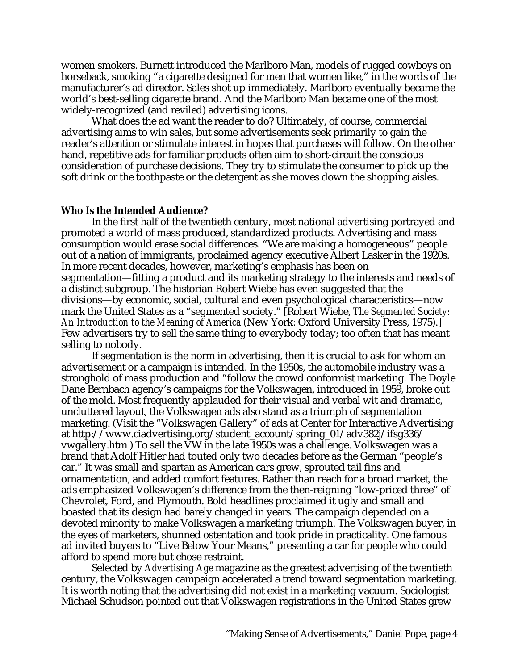women smokers. Burnett introduced the Marlboro Man, models of rugged cowboys on horseback, smoking "a cigarette designed for men that women like," in the words of the manufacturer's ad director. Sales shot up immediately. Marlboro eventually became the world's best-selling cigarette brand. And the Marlboro Man became one of the most widely-recognized (and reviled) advertising icons.

What does the ad want the reader to do? Ultimately, of course, commercial advertising aims to win sales, but some advertisements seek primarily to gain the reader's attention or stimulate interest in hopes that purchases will follow. On the other hand, repetitive ads for familiar products often aim to short-circuit the conscious consideration of purchase decisions. They try to stimulate the consumer to pick up the soft drink or the toothpaste or the detergent as she moves down the shopping aisles.

#### **Who Is the Intended Audience?**

In the first half of the twentieth century, most national advertising portrayed and promoted a world of mass produced, standardized products. Advertising and mass consumption would erase social differences. "We are making a homogeneous" people out of a nation of immigrants, proclaimed agency executive Albert Lasker in the 1920s. In more recent decades, however, marketing's emphasis has been on segmentation—fitting a product and its marketing strategy to the interests and needs of a distinct subgroup. The historian Robert Wiebe has even suggested that the divisions—by economic, social, cultural and even psychological characteristics—now mark the United States as a "segmented society." [Robert Wiebe, *The Segmented Society: An Introduction to the Meaning of America* (New York: Oxford University Press, 1975).] Few advertisers try to sell the same thing to everybody today; too often that has meant selling to nobody.

If segmentation is the norm in advertising, then it is crucial to ask for whom an advertisement or a campaign is intended. In the 1950s, the automobile industry was a stronghold of mass production and "follow the crowd conformist marketing. The Doyle Dane Bernbach agency's campaigns for the Volkswagen, introduced in 1959, broke out of the mold. Most frequently applauded for their visual and verbal wit and dramatic, uncluttered layout, the Volkswagen ads also stand as a triumph of segmentation marketing. (Visit the "Volkswagen Gallery" of ads at Center for Interactive Advertising at http://www.ciadvertising.org/student\_account/spring\_01/adv382j/ifsg336/ vwgallery.htm ) To sell the VW in the late 1950s was a challenge. Volkswagen was a brand that Adolf Hitler had touted only two decades before as the German "people's car." It was small and spartan as American cars grew, sprouted tail fins and ornamentation, and added comfort features. Rather than reach for a broad market, the ads emphasized Volkswagen's difference from the then-reigning "low-priced three" of Chevrolet, Ford, and Plymouth. Bold headlines proclaimed it ugly and small and boasted that its design had barely changed in years. The campaign depended on a devoted minority to make Volkswagen a marketing triumph. The Volkswagen buyer, in the eyes of marketers, shunned ostentation and took pride in practicality. One famous ad invited buyers to "Live Below Your Means," presenting a car for people who could afford to spend more but chose restraint.

Selected by *Advertising Age* magazine as the greatest advertising of the twentieth century, the Volkswagen campaign accelerated a trend toward segmentation marketing. It is worth noting that the advertising did not exist in a marketing vacuum. Sociologist Michael Schudson pointed out that Volkswagen registrations in the United States grew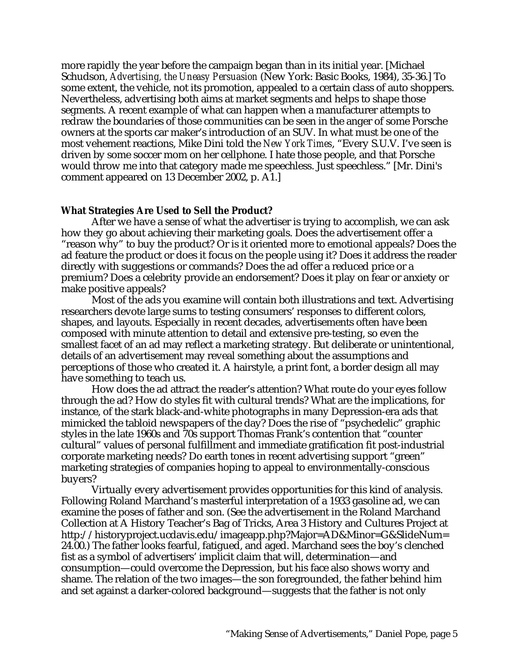more rapidly the year before the campaign began than in its initial year. [Michael Schudson, *Advertising, the Uneasy Persuasion* (New York: Basic Books, 1984), 35-36.] To some extent, the vehicle, not its promotion, appealed to a certain class of auto shoppers. Nevertheless, advertising both aims at market segments and helps to shape those segments. A recent example of what can happen when a manufacturer attempts to redraw the boundaries of those communities can be seen in the anger of some Porsche owners at the sports car maker's introduction of an SUV. In what must be one of the most vehement reactions, Mike Dini told the *New York Times*, "Every S.U.V. I've seen is driven by some soccer mom on her cellphone. I hate those people, and that Porsche would throw me into that category made me speechless. Just speechless." [Mr. Dini's comment appeared on 13 December 2002, p. A1.]

#### **What Strategies Are Used to Sell the Product?**

After we have a sense of what the advertiser is trying to accomplish, we can ask how they go about achieving their marketing goals. Does the advertisement offer a "reason why" to buy the product? Or is it oriented more to emotional appeals? Does the ad feature the product or does it focus on the people using it? Does it address the reader directly with suggestions or commands? Does the ad offer a reduced price or a premium? Does a celebrity provide an endorsement? Does it play on fear or anxiety or make positive appeals?

Most of the ads you examine will contain both illustrations and text. Advertising researchers devote large sums to testing consumers' responses to different colors, shapes, and layouts. Especially in recent decades, advertisements often have been composed with minute attention to detail and extensive pre-testing, so even the smallest facet of an ad may reflect a marketing strategy. But deliberate or unintentional, details of an advertisement may reveal something about the assumptions and perceptions of those who created it. A hairstyle, a print font, a border design all may have something to teach us.

How does the ad attract the reader's attention? What route do your eyes follow through the ad? How do styles fit with cultural trends? What are the implications, for instance, of the stark black-and-white photographs in many Depression-era ads that mimicked the tabloid newspapers of the day? Does the rise of "psychedelic" graphic styles in the late 1960s and 70s support Thomas Frank's contention that "counter cultural" values of personal fulfillment and immediate gratification fit post-industrial corporate marketing needs? Do earth tones in recent advertising support "green" marketing strategies of companies hoping to appeal to environmentally-conscious buyers?

Virtually every advertisement provides opportunities for this kind of analysis. Following Roland Marchand's masterful interpretation of a 1933 gasoline ad, we can examine the poses of father and son. (See the advertisement in the Roland Marchand Collection at A History Teacher's Bag of Tricks, Area 3 History and Cultures Project at http://historyproject.ucdavis.edu/imageapp.php?Major=AD&Minor=G&SlideNum= 24.00.) The father looks fearful, fatigued, and aged. Marchand sees the boy's clenched fist as a symbol of advertisers' implicit claim that will, determination—and consumption—could overcome the Depression, but his face also shows worry and shame. The relation of the two images—the son foregrounded, the father behind him and set against a darker-colored background—suggests that the father is not only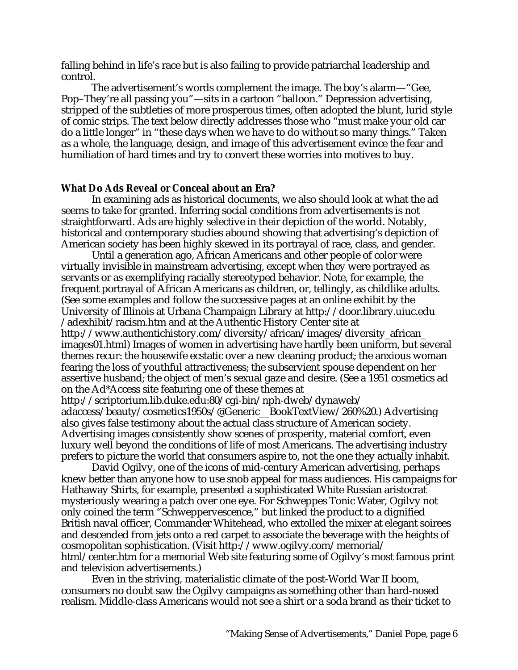falling behind in life's race but is also failing to provide patriarchal leadership and control.

The advertisement's words complement the image. The boy's alarm—"Gee, Pop–They're all passing you"—sits in a cartoon "balloon." Depression advertising, stripped of the subtleties of more prosperous times, often adopted the blunt, lurid style of comic strips. The text below directly addresses those who "must make your old car do a little longer" in "these days when we have to do without so many things." Taken as a whole, the language, design, and image of this advertisement evince the fear and humiliation of hard times and try to convert these worries into motives to buy.

#### **What Do Ads Reveal or Conceal about an Era?**

In examining ads as historical documents, we also should look at what the ad seems to take for granted. Inferring social conditions from advertisements is not straightforward. Ads are highly selective in their depiction of the world. Notably, historical and contemporary studies abound showing that advertising's depiction of American society has been highly skewed in its portrayal of race, class, and gender.

Until a generation ago, African Americans and other people of color were virtually invisible in mainstream advertising, except when they were portrayed as servants or as exemplifying racially stereotyped behavior. Note, for example, the frequent portrayal of African Americans as children, or, tellingly, as childlike adults. (See some examples and follow the successive pages at an online exhibit by the University of Illinois at Urbana Champaign Library at http://door.library.uiuc.edu /adexhibit/racism.htm and at the Authentic History Center site at http://www.authentichistory.com/diversity/african/images/diversity\_african\_ images01.html) Images of women in advertising have hardly been uniform, but several themes recur: the housewife ecstatic over a new cleaning product; the anxious woman fearing the loss of youthful attractiveness; the subservient spouse dependent on her assertive husband; the object of men's sexual gaze and desire. (See a 1951 cosmetics ad on the Ad\*Access site featuring one of these themes at http://scriptorium.lib.duke.edu:80/cgi-bin/nph-dweb/dynaweb/

adaccess/beauty/cosmetics1950s/@Generic\_\_BookTextView/260%20.) Advertising also gives false testimony about the actual class structure of American society. Advertising images consistently show scenes of prosperity, material comfort, even luxury well beyond the conditions of life of most Americans. The advertising industry prefers to picture the world that consumers aspire to, not the one they actually inhabit.

David Ogilvy, one of the icons of mid-century American advertising, perhaps knew better than anyone how to use snob appeal for mass audiences. His campaigns for Hathaway Shirts, for example, presented a sophisticated White Russian aristocrat mysteriously wearing a patch over one eye. For Schweppes Tonic Water, Ogilvy not only coined the term "Schweppervescence," but linked the product to a dignified British naval officer, Commander Whitehead, who extolled the mixer at elegant soirees and descended from jets onto a red carpet to associate the beverage with the heights of cosmopolitan sophistication. (Visit http://www.ogilvy.com/memorial/ html/center.htm for a memorial Web site featuring some of Ogilvy's most famous print and television advertisements.)

Even in the striving, materialistic climate of the post-World War II boom, consumers no doubt saw the Ogilvy campaigns as something other than hard-nosed realism. Middle-class Americans would not see a shirt or a soda brand as their ticket to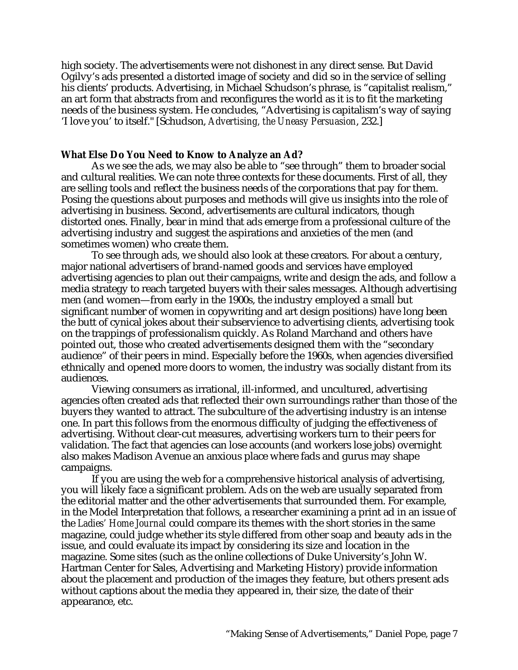high society. The advertisements were not dishonest in any direct sense. But David Ogilvy's ads presented a distorted image of society and did so in the service of selling his clients' products. Advertising, in Michael Schudson's phrase, is "capitalist realism," an art form that abstracts from and reconfigures the world as it is to fit the marketing needs of the business system. He concludes, "Advertising is capitalism's way of saying 'I love you' to itself." [Schudson, *Advertising, the Uneasy Persuasion*, 232.]

#### **What Else Do You Need to Know to Analyze an Ad?**

As we see the ads, we may also be able to "see through" them to broader social and cultural realities. We can note three contexts for these documents. First of all, they are selling tools and reflect the business needs of the corporations that pay for them. Posing the questions about purposes and methods will give us insights into the role of advertising in business. Second, advertisements are cultural indicators, though distorted ones. Finally, bear in mind that ads emerge from a professional culture of the advertising industry and suggest the aspirations and anxieties of the men (and sometimes women) who create them.

To see through ads, we should also look at these creators. For about a century, major national advertisers of brand-named goods and services have employed advertising agencies to plan out their campaigns, write and design the ads, and follow a media strategy to reach targeted buyers with their sales messages. Although advertising men (and women—from early in the 1900s, the industry employed a small but significant number of women in copywriting and art design positions) have long been the butt of cynical jokes about their subservience to advertising clients, advertising took on the trappings of professionalism quickly. As Roland Marchand and others have pointed out, those who created advertisements designed them with the "secondary audience" of their peers in mind. Especially before the 1960s, when agencies diversified ethnically and opened more doors to women, the industry was socially distant from its audiences.

Viewing consumers as irrational, ill-informed, and uncultured, advertising agencies often created ads that reflected their own surroundings rather than those of the buyers they wanted to attract. The subculture of the advertising industry is an intense one. In part this follows from the enormous difficulty of judging the effectiveness of advertising. Without clear-cut measures, advertising workers turn to their peers for validation. The fact that agencies can lose accounts (and workers lose jobs) overnight also makes Madison Avenue an anxious place where fads and gurus may shape campaigns.

If you are using the web for a comprehensive historical analysis of advertising, you will likely face a significant problem. Ads on the web are usually separated from the editorial matter and the other advertisements that surrounded them. For example, in the Model Interpretation that follows, a researcher examining a print ad in an issue of the *Ladies' Home Journal* could compare its themes with the short stories in the same magazine, could judge whether its style differed from other soap and beauty ads in the issue, and could evaluate its impact by considering its size and location in the magazine. Some sites (such as the online collections of Duke University's John W. Hartman Center for Sales, Advertising and Marketing History) provide information about the placement and production of the images they feature, but others present ads without captions about the media they appeared in, their size, the date of their appearance, etc.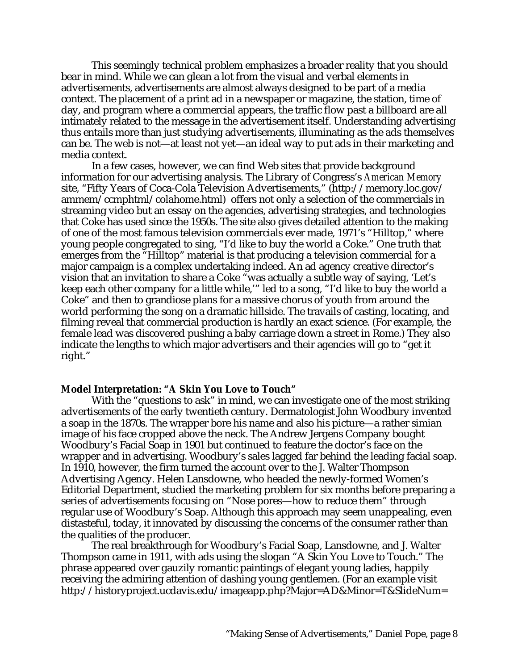This seemingly technical problem emphasizes a broader reality that you should bear in mind. While we can glean a lot from the visual and verbal elements in advertisements, advertisements are almost always designed to be part of a media context. The placement of a print ad in a newspaper or magazine, the station, time of day, and program where a commercial appears, the traffic flow past a billboard are all intimately related to the message in the advertisement itself. Understanding advertising thus entails more than just studying advertisements, illuminating as the ads themselves can be. The web is not—at least not yet—an ideal way to put ads in their marketing and media context.

In a few cases, however, we can find Web sites that provide background information for our advertising analysis. The Library of Congress's *American Memory* site, "Fifty Years of Coca-Cola Television Advertisements," (http://memory.loc.gov/ ammem/ccmphtml/colahome.html) offers not only a selection of the commercials in streaming video but an essay on the agencies, advertising strategies, and technologies that Coke has used since the 1950s. The site also gives detailed attention to the making of one of the most famous television commercials ever made, 1971's "Hilltop," where young people congregated to sing, "I'd like to buy the world a Coke." One truth that emerges from the "Hilltop" material is that producing a television commercial for a major campaign is a complex undertaking indeed. An ad agency creative director's vision that an invitation to share a Coke "was actually a subtle way of saying, 'Let's keep each other company for a little while,'" led to a song, "I'd like to buy the world a Coke" and then to grandiose plans for a massive chorus of youth from around the world performing the song on a dramatic hillside. The travails of casting, locating, and filming reveal that commercial production is hardly an exact science. (For example, the female lead was discovered pushing a baby carriage down a street in Rome.) They also indicate the lengths to which major advertisers and their agencies will go to "get it right."

#### **Model Interpretation: "A Skin You Love to Touch"**

With the "questions to ask" in mind, we can investigate one of the most striking advertisements of the early twentieth century. Dermatologist John Woodbury invented a soap in the 1870s. The wrapper bore his name and also his picture—a rather simian image of his face cropped above the neck. The Andrew Jergens Company bought Woodbury's Facial Soap in 1901 but continued to feature the doctor's face on the wrapper and in advertising. Woodbury's sales lagged far behind the leading facial soap. In 1910, however, the firm turned the account over to the J. Walter Thompson Advertising Agency. Helen Lansdowne, who headed the newly-formed Women's Editorial Department, studied the marketing problem for six months before preparing a series of advertisements focusing on "Nose pores—how to reduce them" through regular use of Woodbury's Soap. Although this approach may seem unappealing, even distasteful, today, it innovated by discussing the concerns of the consumer rather than the qualities of the producer.

The real breakthrough for Woodbury's Facial Soap, Lansdowne, and J. Walter Thompson came in 1911, with ads using the slogan "A Skin You Love to Touch." The phrase appeared over gauzily romantic paintings of elegant young ladies, happily receiving the admiring attention of dashing young gentlemen. (For an example visit http://historyproject.ucdavis.edu/imageapp.php?Major=AD&Minor=T&SlideNum=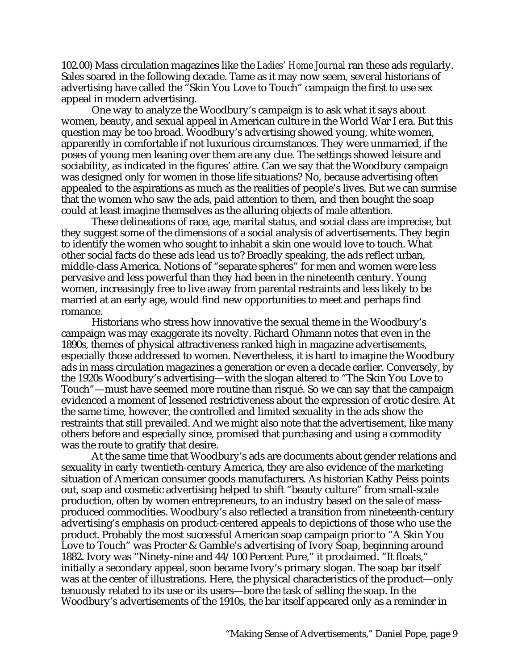102.00) Mass circulation magazines like the *Ladies' Home Journal* ran these ads regularly. Sales soared in the following decade. Tame as it may now seem, several historians of advertising have called the "Skin You Love to Touch" campaign the first to use sex appeal in modern advertising.

One way to analyze the Woodbury's campaign is to ask what it says about women, beauty, and sexual appeal in American culture in the World War I era. But this question may be too broad. Woodbury's advertising showed young, white women, apparently in comfortable if not luxurious circumstances. They were unmarried, if the poses of young men leaning over them are any clue. The settings showed leisure and sociability, as indicated in the figures' attire. Can we say that the Woodbury campaign was designed only for women in those life situations? No, because advertising often appealed to the aspirations as much as the realities of people's lives. But we can surmise that the women who saw the ads, paid attention to them, and then bought the soap could at least imagine themselves as the alluring objects of male attention.

These delineations of race, age, marital status, and social class are imprecise, but they suggest some of the dimensions of a social analysis of advertisements. They begin to identify the women who sought to inhabit a skin one would love to touch. What other social facts do these ads lead us to? Broadly speaking, the ads reflect urban, middle-class America. Notions of "separate spheres" for men and women were less pervasive and less powerful than they had been in the nineteenth century. Young women, increasingly free to live away from parental restraints and less likely to be married at an early age, would find new opportunities to meet and perhaps find romance.

Historians who stress how innovative the sexual theme in the Woodbury's campaign was may exaggerate its novelty. Richard Ohmann notes that even in the 1890s, themes of physical attractiveness ranked high in magazine advertisements, especially those addressed to women. Nevertheless, it is hard to imagine the Woodbury ads in mass circulation magazines a generation or even a decade earlier. Conversely, by the 1920s Woodbury's advertising—with the slogan altered to "The Skin You Love to Touch"—must have seemed more routine than risqué. So we can say that the campaign evidenced a moment of lessened restrictiveness about the expression of erotic desire. At the same time, however, the controlled and limited sexuality in the ads show the restraints that still prevailed. And we might also note that the advertisement, like many others before and especially since, promised that purchasing and using a commodity was the route to gratify that desire.

At the same time that Woodbury's ads are documents about gender relations and sexuality in early twentieth-century America, they are also evidence of the marketing situation of American consumer goods manufacturers. As historian Kathy Peiss points out, soap and cosmetic advertising helped to shift "beauty culture" from small-scale production, often by women entrepreneurs, to an industry based on the sale of massproduced commodities. Woodbury's also reflected a transition from nineteenth-century advertising's emphasis on product-centered appeals to depictions of those who use the product. Probably the most successful American soap campaign prior to "A Skin You Love to Touch" was Procter & Gamble's advertising of Ivory Soap, beginning around 1882. Ivory was "Ninety-nine and 44/100 Percent Pure," it proclaimed. "It floats," initially a secondary appeal, soon became Ivory's primary slogan. The soap bar itself was at the center of illustrations. Here, the physical characteristics of the product—only tenuously related to its use or its users—bore the task of selling the soap. In the Woodbury's advertisements of the 1910s, the bar itself appeared only as a reminder in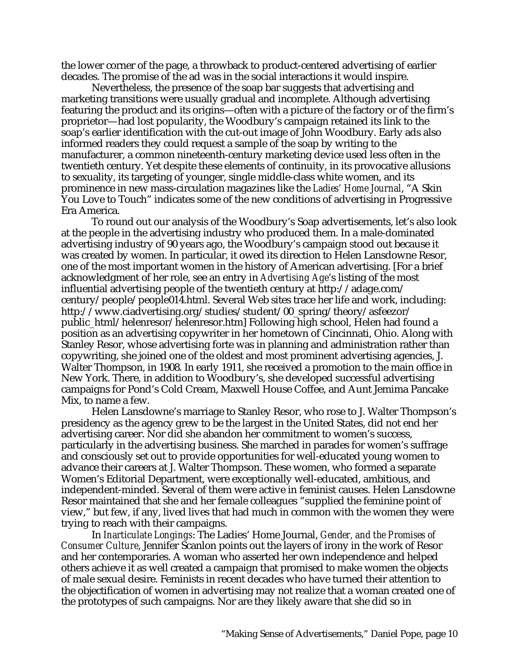the lower corner of the page, a throwback to product-centered advertising of earlier decades. The promise of the ad was in the social interactions it would inspire.

Nevertheless, the presence of the soap bar suggests that advertising and marketing transitions were usually gradual and incomplete. Although advertising featuring the product and its origins—often with a picture of the factory or of the firm's proprietor—had lost popularity, the Woodbury's campaign retained its link to the soap's earlier identification with the cut-out image of John Woodbury. Early ads also informed readers they could request a sample of the soap by writing to the manufacturer, a common nineteenth-century marketing device used less often in the twentieth century. Yet despite these elements of continuity, in its provocative allusions to sexuality, its targeting of younger, single middle-class white women, and its prominence in new mass-circulation magazines like the *Ladies' Home Journal*, "A Skin You Love to Touch" indicates some of the new conditions of advertising in Progressive Era America.

To round out our analysis of the Woodbury's Soap advertisements, let's also look at the people in the advertising industry who produced them. In a male-dominated advertising industry of 90 years ago, the Woodbury's campaign stood out because it was created by women. In particular, it owed its direction to Helen Lansdowne Resor, one of the most important women in the history of American advertising. [For a brief acknowledgment of her role, see an entry in *Advertising Age*'s listing of the most influential advertising people of the twentieth century at http://adage.com/ century/people/people014.html. Several Web sites trace her life and work, including: http://www.ciadvertising.org/studies/student/00\_spring/theory/asfeezor/ public\_html/helenresor/helenresor.htm] Following high school, Helen had found a position as an advertising copywriter in her hometown of Cincinnati, Ohio. Along with Stanley Resor, whose advertising forte was in planning and administration rather than copywriting, she joined one of the oldest and most prominent advertising agencies, J. Walter Thompson, in 1908. In early 1911, she received a promotion to the main office in New York. There, in addition to Woodbury's, she developed successful advertising campaigns for Pond's Cold Cream, Maxwell House Coffee, and Aunt Jemima Pancake Mix, to name a few.

Helen Lansdowne's marriage to Stanley Resor, who rose to J. Walter Thompson's presidency as the agency grew to be the largest in the United States, did not end her advertising career. Nor did she abandon her commitment to women's success, particularly in the advertising business. She marched in parades for women's suffrage and consciously set out to provide opportunities for well-educated young women to advance their careers at J. Walter Thompson. These women, who formed a separate Women's Editorial Department, were exceptionally well-educated, ambitious, and independent-minded. Several of them were active in feminist causes. Helen Lansdowne Resor maintained that she and her female colleagues "supplied the feminine point of view," but few, if any, lived lives that had much in common with the women they were trying to reach with their campaigns.

In *Inarticulate Longings*: The Ladies' Home Journal, *Gender, and the Promises of Consumer Culture*, Jennifer Scanlon points out the layers of irony in the work of Resor and her contemporaries. A woman who asserted her own independence and helped others achieve it as well created a campaign that promised to make women the objects of male sexual desire. Feminists in recent decades who have turned their attention to the objectification of women in advertising may not realize that a woman created one of the prototypes of such campaigns. Nor are they likely aware that she did so in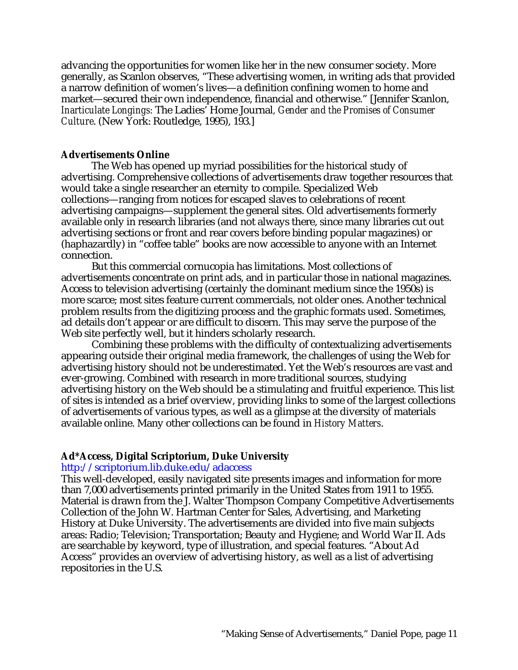advancing the opportunities for women like her in the new consumer society. More generally, as Scanlon observes, "These advertising women, in writing ads that provided a narrow definition of women's lives—a definition confining women to home and market—secured their own independence, financial and otherwise." [Jennifer Scanlon, *Inarticulate Longings:* The Ladies' Home Journal*, Gender and the Promises of Consumer Culture*. (New York: Routledge, 1995), 193.]

#### **Advertisements Online**

The Web has opened up myriad possibilities for the historical study of advertising. Comprehensive collections of advertisements draw together resources that would take a single researcher an eternity to compile. Specialized Web collections—ranging from notices for escaped slaves to celebrations of recent advertising campaigns—supplement the general sites. Old advertisements formerly available only in research libraries (and not always there, since many libraries cut out advertising sections or front and rear covers before binding popular magazines) or (haphazardly) in "coffee table" books are now accessible to anyone with an Internet connection.

But this commercial cornucopia has limitations. Most collections of advertisements concentrate on print ads, and in particular those in national magazines. Access to television advertising (certainly the dominant medium since the 1950s) is more scarce; most sites feature current commercials, not older ones. Another technical problem results from the digitizing process and the graphic formats used. Sometimes, ad details don't appear or are difficult to discern. This may serve the purpose of the Web site perfectly well, but it hinders scholarly research.

Combining these problems with the difficulty of contextualizing advertisements appearing outside their original media framework, the challenges of using the Web for advertising history should not be underestimated. Yet the Web's resources are vast and ever-growing. Combined with research in more traditional sources, studying advertising history on the Web should be a stimulating and fruitful experience. This list of sites is intended as a brief overview, providing links to some of the largest collections of advertisements of various types, as well as a glimpse at the diversity of materials available online. Many other collections can be found in *History Matters*.

#### **Ad\*Access, Digital Scriptorium, Duke University**

http://scriptorium.lib.duke.edu/adaccess

This well-developed, easily navigated site presents images and information for more than 7,000 advertisements printed primarily in the United States from 1911 to 1955. Material is drawn from the J. Walter Thompson Company Competitive Advertisements Collection of the John W. Hartman Center for Sales, Advertising, and Marketing History at Duke University. The advertisements are divided into five main subjects areas: Radio; Television; Transportation; Beauty and Hygiene; and World War II. Ads are searchable by keyword, type of illustration, and special features. "About Ad Access" provides an overview of advertising history, as well as a list of advertising repositories in the U.S.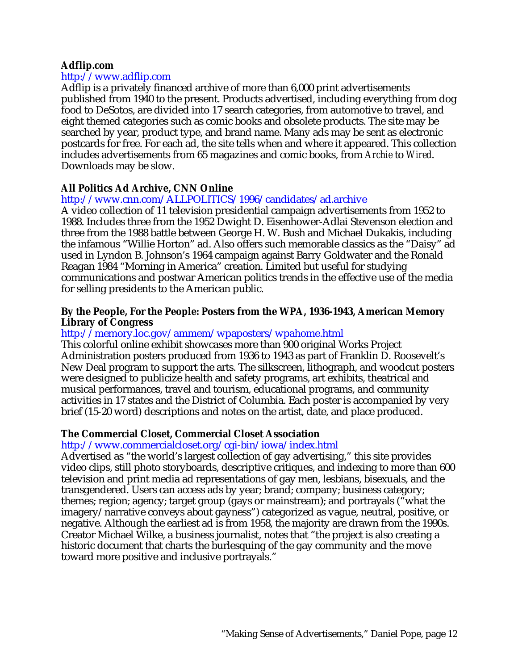#### **Adflip.com**

#### http://www.adflip.com

Adflip is a privately financed archive of more than 6,000 print advertisements published from 1940 to the present. Products advertised, including everything from dog food to DeSotos, are divided into 17 search categories, from automotive to travel, and eight themed categories such as comic books and obsolete products. The site may be searched by year, product type, and brand name. Many ads may be sent as electronic postcards for free. For each ad, the site tells when and where it appeared. This collection includes advertisements from 65 magazines and comic books, from *Archie* to *Wired*. Downloads may be slow.

## **All Politics Ad Archive, CNN Online**

## http://www.cnn.com/ALLPOLITICS/1996/candidates/ad.archive

A video collection of 11 television presidential campaign advertisements from 1952 to 1988. Includes three from the 1952 Dwight D. Eisenhower-Adlai Stevenson election and three from the 1988 battle between George H. W. Bush and Michael Dukakis, including the infamous "Willie Horton" ad. Also offers such memorable classics as the "Daisy" ad used in Lyndon B. Johnson's 1964 campaign against Barry Goldwater and the Ronald Reagan 1984 "Morning in America" creation. Limited but useful for studying communications and postwar American politics trends in the effective use of the media for selling presidents to the American public.

#### **By the People, For the People: Posters from the WPA, 1936-1943, American Memory Library of Congress**

## http://memory.loc.gov/ammem/wpaposters/wpahome.html

This colorful online exhibit showcases more than 900 original Works Project Administration posters produced from 1936 to 1943 as part of Franklin D. Roosevelt's New Deal program to support the arts. The silkscreen, lithograph, and woodcut posters were designed to publicize health and safety programs, art exhibits, theatrical and musical performances, travel and tourism, educational programs, and community activities in 17 states and the District of Columbia. Each poster is accompanied by very brief (15-20 word) descriptions and notes on the artist, date, and place produced.

## **The Commercial Closet, Commercial Closet Association**

## http://www.commercialcloset.org/cgi-bin/iowa/index.html

Advertised as "the world's largest collection of gay advertising," this site provides video clips, still photo storyboards, descriptive critiques, and indexing to more than 600 television and print media ad representations of gay men, lesbians, bisexuals, and the transgendered. Users can access ads by year; brand; company; business category; themes; region; agency; target group (gays or mainstream); and portrayals ("what the imagery/narrative conveys about gayness") categorized as vague, neutral, positive, or negative. Although the earliest ad is from 1958, the majority are drawn from the 1990s. Creator Michael Wilke, a business journalist, notes that "the project is also creating a historic document that charts the burlesquing of the gay community and the move toward more positive and inclusive portrayals."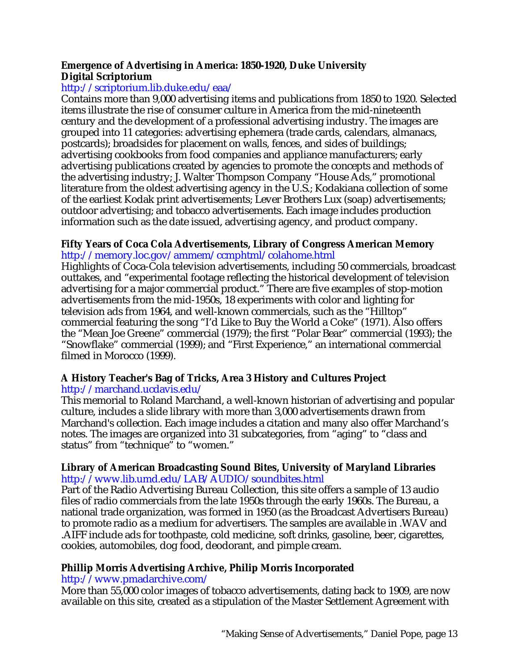## **Emergence of Advertising in America: 1850-1920, Duke University Digital Scriptorium**

# http://scriptorium.lib.duke.edu/eaa/

Contains more than 9,000 advertising items and publications from 1850 to 1920. Selected items illustrate the rise of consumer culture in America from the mid-nineteenth century and the development of a professional advertising industry. The images are grouped into 11 categories: advertising ephemera (trade cards, calendars, almanacs, postcards); broadsides for placement on walls, fences, and sides of buildings; advertising cookbooks from food companies and appliance manufacturers; early advertising publications created by agencies to promote the concepts and methods of the advertising industry; J. Walter Thompson Company "House Ads," promotional literature from the oldest advertising agency in the U.S.; Kodakiana collection of some of the earliest Kodak print advertisements; Lever Brothers Lux (soap) advertisements; outdoor advertising; and tobacco advertisements. Each image includes production information such as the date issued, advertising agency, and product company.

#### **Fifty Years of Coca Cola Advertisements, Library of Congress American Memory** http://memory.loc.gov/ammem/ccmphtml/colahome.html

Highlights of Coca-Cola television advertisements, including 50 commercials, broadcast outtakes, and "experimental footage reflecting the historical development of television advertising for a major commercial product." There are five examples of stop-motion advertisements from the mid-1950s, 18 experiments with color and lighting for television ads from 1964, and well-known commercials, such as the "Hilltop" commercial featuring the song "I'd Like to Buy the World a Coke" (1971). Also offers the "Mean Joe Greene" commercial (1979); the first "Polar Bear" commercial (1993); the "Snowflake" commercial (1999); and "First Experience," an international commercial filmed in Morocco (1999).

## **A History Teacher's Bag of Tricks, Area 3 History and Cultures Project** http://marchand.ucdavis.edu/

This memorial to Roland Marchand, a well-known historian of advertising and popular culture, includes a slide library with more than 3,000 advertisements drawn from Marchand's collection. Each image includes a citation and many also offer Marchand's notes. The images are organized into 31 subcategories, from "aging" to "class and status" from "technique" to "women."

## **Library of American Broadcasting Sound Bites, University of Maryland Libraries** http://www.lib.umd.edu/LAB/AUDIO/soundbites.html

Part of the Radio Advertising Bureau Collection, this site offers a sample of 13 audio files of radio commercials from the late 1950s through the early 1960s. The Bureau, a national trade organization, was formed in 1950 (as the Broadcast Advertisers Bureau) to promote radio as a medium for advertisers. The samples are available in .WAV and .AIFF include ads for toothpaste, cold medicine, soft drinks, gasoline, beer, cigarettes, cookies, automobiles, dog food, deodorant, and pimple cream.

# **Phillip Morris Advertising Archive, Philip Morris Incorporated**

## http://www.pmadarchive.com/

More than 55,000 color images of tobacco advertisements, dating back to 1909, are now available on this site, created as a stipulation of the Master Settlement Agreement with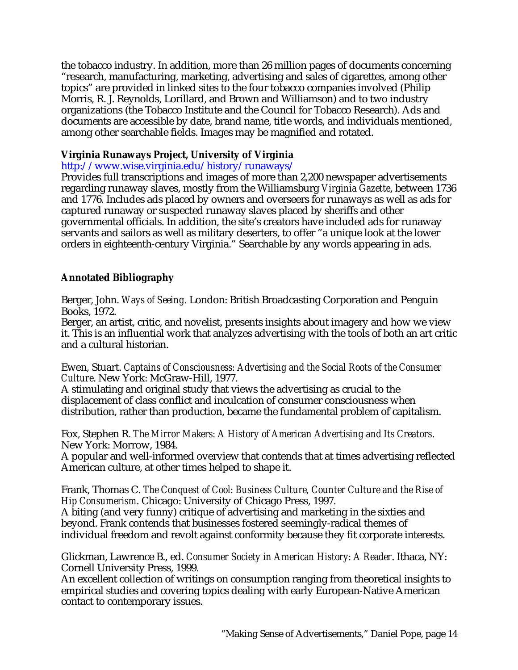the tobacco industry. In addition, more than 26 million pages of documents concerning "research, manufacturing, marketing, advertising and sales of cigarettes, among other topics" are provided in linked sites to the four tobacco companies involved (Philip Morris, R. J. Reynolds, Lorillard, and Brown and Williamson) and to two industry organizations (the Tobacco Institute and the Council for Tobacco Research). Ads and documents are accessible by date, brand name, title words, and individuals mentioned, among other searchable fields. Images may be magnified and rotated.

## **Virginia Runaways Project, University of Virginia**

## http://www.wise.virginia.edu/history/runaways/

Provides full transcriptions and images of more than 2,200 newspaper advertisements regarding runaway slaves, mostly from the Williamsburg *Virginia Gazette*, between 1736 and 1776. Includes ads placed by owners and overseers for runaways as well as ads for captured runaway or suspected runaway slaves placed by sheriffs and other governmental officials. In addition, the site's creators have included ads for runaway servants and sailors as well as military deserters, to offer "a unique look at the lower orders in eighteenth-century Virginia." Searchable by any words appearing in ads.

# **Annotated Bibliography**

Berger, John. *Ways of Seeing*. London: British Broadcasting Corporation and Penguin Books, 1972.

Berger, an artist, critic, and novelist, presents insights about imagery and how we view it. This is an influential work that analyzes advertising with the tools of both an art critic and a cultural historian.

Ewen, Stuart. *Captains of Consciousness: Advertising and the Social Roots of the Consumer Culture*. New York: McGraw-Hill, 1977.

A stimulating and original study that views the advertising as crucial to the displacement of class conflict and inculcation of consumer consciousness when distribution, rather than production, became the fundamental problem of capitalism.

Fox, Stephen R. *The Mirror Makers: A History of American Advertising and Its Creators*. New York: Morrow, 1984.

A popular and well-informed overview that contends that at times advertising reflected American culture, at other times helped to shape it.

Frank, Thomas C. *The Conquest of Cool: Business Culture, Counter Culture and the Rise of Hip Consumerism*. Chicago: University of Chicago Press, 1997.

A biting (and very funny) critique of advertising and marketing in the sixties and beyond. Frank contends that businesses fostered seemingly-radical themes of individual freedom and revolt against conformity because they fit corporate interests.

Glickman, Lawrence B., ed. *Consumer Society in American History: A Reader*. Ithaca, NY: Cornell University Press, 1999.

An excellent collection of writings on consumption ranging from theoretical insights to empirical studies and covering topics dealing with early European-Native American contact to contemporary issues.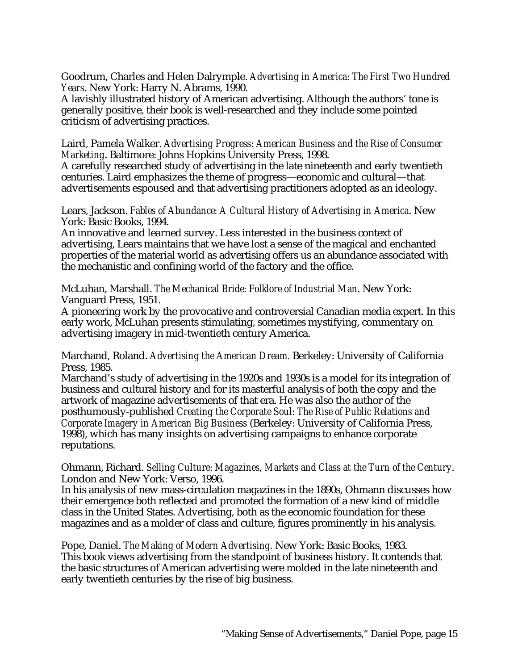Goodrum, Charles and Helen Dalrymple. *Advertising in America: The First Two Hundred Years*. New York: Harry N. Abrams, 1990.

A lavishly illustrated history of American advertising. Although the authors' tone is generally positive, their book is well-researched and they include some pointed criticism of advertising practices.

Laird, Pamela Walker. *Advertising Progress: American Business and the Rise of Consumer Marketing*. Baltimore: Johns Hopkins University Press, 1998.

A carefully researched study of advertising in the late nineteenth and early twentieth centuries. Laird emphasizes the theme of progress—economic and cultural—that advertisements espoused and that advertising practitioners adopted as an ideology.

Lears, Jackson. *Fables of Abundance: A Cultural History of Advertising in America*. New York: Basic Books, 1994.

An innovative and learned survey. Less interested in the business context of advertising, Lears maintains that we have lost a sense of the magical and enchanted properties of the material world as advertising offers us an abundance associated with the mechanistic and confining world of the factory and the office.

McLuhan, Marshall. *The Mechanical Bride: Folklore of Industrial Man*. New York: Vanguard Press, 1951.

A pioneering work by the provocative and controversial Canadian media expert. In this early work, McLuhan presents stimulating, sometimes mystifying, commentary on advertising imagery in mid-twentieth century America.

Marchand, Roland. *Advertising the American Dream.* Berkeley: University of California Press, 1985.

Marchand's study of advertising in the 1920s and 1930s is a model for its integration of business and cultural history and for its masterful analysis of both the copy and the artwork of magazine advertisements of that era. He was also the author of the posthumously-published *Creating the Corporate Soul: The Rise of Public Relations and Corporate Imagery in American Big Business* (Berkeley: University of California Press, 1998), which has many insights on advertising campaigns to enhance corporate reputations.

Ohmann, Richard*. Selling Culture: Magazines, Markets and Class at the Turn of the Century*. London and New York: Verso, 1996.

In his analysis of new mass-circulation magazines in the 1890s, Ohmann discusses how their emergence both reflected and promoted the formation of a new kind of middle class in the United States. Advertising, both as the economic foundation for these magazines and as a molder of class and culture, figures prominently in his analysis.

Pope, Daniel. *The Making of Modern Advertising.* New York: Basic Books, 1983. This book views advertising from the standpoint of business history. It contends that the basic structures of American advertising were molded in the late nineteenth and early twentieth centuries by the rise of big business.